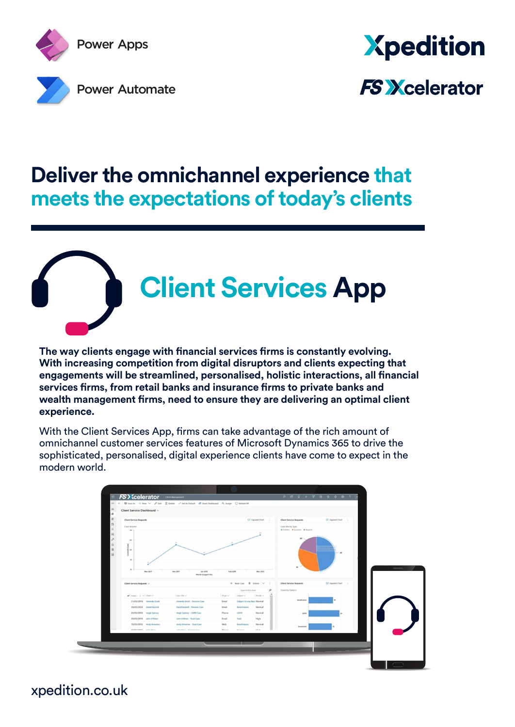



### **Deliver the omnichannel experience that meets the expectations of today's clients**

# **Client Services App**

**The way clients engage with financial services firms is constantly evolving. With increasing competition from digital disruptors and clients expecting that engagements will be streamlined, personalised, holistic interactions, all financial services firms, from retail banks and insurance firms to private banks and wealth management firms, need to ensure they are delivering an optimal client experience.**

With the Client Services App, firms can take advantage of the rich amount of omnichannel customer services features of Microsoft Dynamics 365 to drive the sophisticated, personalised, digital experience clients have come to expect in the modern world.



xpedition.co.uk